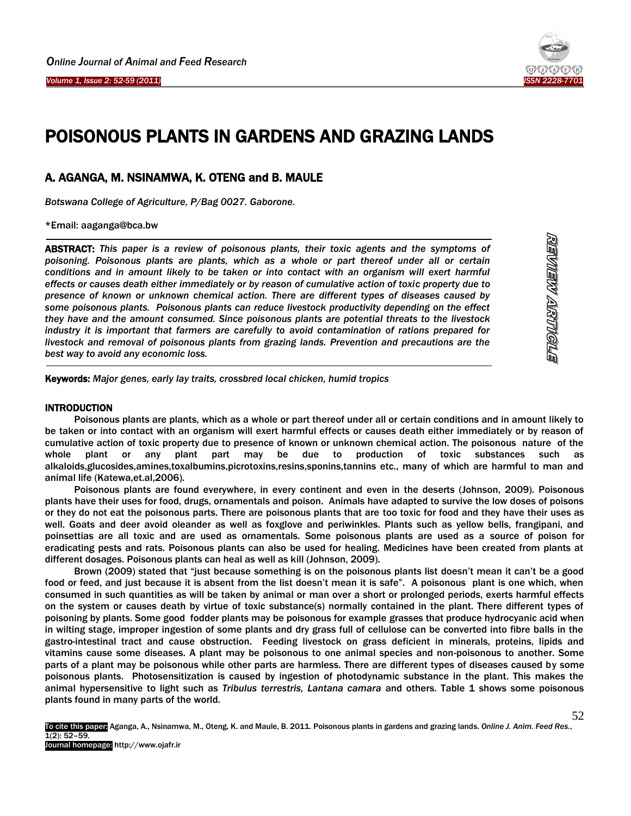

# POISONOUS PLANTS IN GARDENS AND GRAZING LANDS

# A. AGANGA, M. NSINAMWA, K. OTENG and B. MAULE

*Botswana College of Agriculture, P/Bag 0027. Gaborone.*

\*Email: aaganga@bca.bw

 $\overline{a}$ 

 $\ddot{\phantom{0}}$ 

Ï

ABSTRACT: *This paper is a review of poisonous plants, their toxic agents and the symptoms of poisoning. Poisonous plants are plants, which as a whole or part thereof under all or certain conditions and in amount likely to be taken or into contact with an organism will exert harmful effects or causes death either immediately or by reason of cumulative action of toxic property due to presence of known or unknown chemical action. There are different types of diseases caused by some poisonous plants. Poisonous plants can reduce livestock productivity depending on the effect they have and the amount consumed. Since poisonous plants are potential threats to the livestock industry it is important that farmers are carefully to avoid contamination of rations prepared for livestock and removal of poisonous plants from grazing lands. Prevention and precautions are the best way to avoid any economic loss.* 

REVIEW ARTIGL

Keywords: *Major genes, early lay traits, crossbred local chicken, humid tropics*

## INTRODUCTION

Poisonous plants are plants, which as a whole or part thereof under all or certain conditions and in amount likely to be taken or into contact with an organism will exert harmful effects or causes death either immediately or by reason of cumulative action of toxic property due to presence of known or unknown chemical action. The poisonous nature of the whole plant or any plant part may be due to production of toxic substances such as alkaloids,glucosides,amines,toxalbumins,picrotoxins,resins,sponins,tannins etc., many of which are harmful to man and animal life (Katewa,et.al,2006).

Poisonous plants are found everywhere, in every continent and even in the deserts (Johnson, 2009). Poisonous plants have their uses for food, drugs, ornamentals and poison. Animals have adapted to survive the low doses of poisons or they do not eat the poisonous parts. There are poisonous plants that are too toxic for food and they have their uses as well. Goats and deer avoid oleander as well as foxglove and periwinkles. Plants such as yellow bells, frangipani, and poinsettias are all toxic and are used as ornamentals. Some poisonous plants are used as a source of poison for eradicating pests and rats. Poisonous plants can also be used for healing. Medicines have been created from plants at different dosages. Poisonous plants can heal as well as kill (Johnson, 2009).

Brown (2009) stated that "just because something is on the poisonous plants list doesn't mean it can't be a good food or feed, and just because it is absent from the list doesn't mean it is safe". A poisonous plant is one which, when consumed in such quantities as will be taken by animal or man over a short or prolonged periods, exerts harmful effects on the system or causes death by virtue of toxic substance(s) normally contained in the plant. There different types of poisoning by plants. Some good fodder plants may be poisonous for example grasses that produce hydrocyanic acid when in wilting stage, improper ingestion of some plants and dry grass full of cellulose can be converted into fibre balls in the gastro-intestinal tract and cause obstruction. Feeding livestock on grass deficient in minerals, proteins, lipids and vitamins cause some diseases. A plant may be poisonous to one animal species and non-poisonous to another. Some parts of a plant may be poisonous while other parts are harmless. There are different types of diseases caused by some poisonous plants. Photosensitization is caused by ingestion of photodynamic substance in the plant. This makes the animal hypersensitive to light such as *Tribulus terrestris, Lantana camara* and others. Table 1 shows some poisonous plants found in many parts of the world.

To cite this paper: Aganga, A., Nsinamwa, M., Oteng, K. and Maule, B. 2011. Poisonous plants in gardens and grazing lands. *Online J. Anim. Feed Res.*, 1(2): 52–59.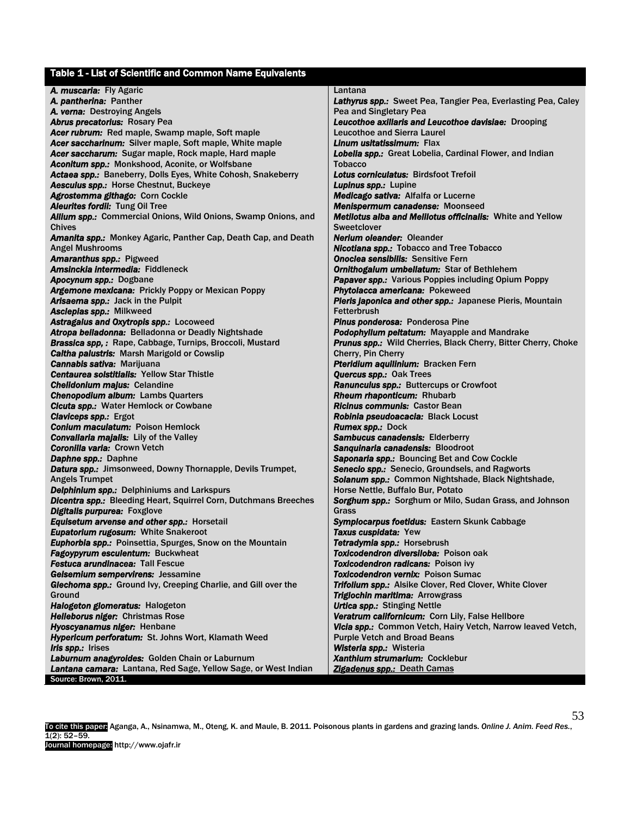| Table 1 - List of Scientific and Common Name Equivalents |  |
|----------------------------------------------------------|--|
|----------------------------------------------------------|--|

*A. muscaria:* Fly Agaric *A. pantherina:* Panther *A. verna:* Destroying Angels *Abrus precatorius:* Rosary Pea *Acer rubrum:* Red maple, Swamp maple, Soft maple *Acer saccharinum:* Silver maple, Soft maple, White maple *Acer saccharum:* Sugar maple, Rock maple, Hard maple *Aconitum spp.:* Monkshood, Aconite, or Wolfsbane *Actaea spp.:* Baneberry, Dolls Eyes, White Cohosh, Snakeberry *Aesculus spp.:* Horse Chestnut, Buckeye *Agrostemma githago:* Corn Cockle *Aleurites fordii:* Tung Oil Tree *Allium spp.:* Commercial Onions, Wild Onions, Swamp Onions, and Chives *Amanita spp.:* Monkey Agaric, Panther Cap, Death Cap, and Death Angel Mushrooms *Amaranthus spp.:* Pigweed *Amsinckia intermedia:* Fiddleneck *Apocynum spp.:* Dogbane *Argemone mexicana:* Prickly Poppy or Mexican Poppy *Arisaema spp.:* Jack in the Pulpit *Asclepias spp.:* Milkweed *Astragalus and Oxytropis spp.:* Locoweed *Atropa belladonna:* Belladonna or Deadly Nightshade *Brassica spp, :* Rape, Cabbage, Turnips, Broccoli, Mustard *Caltha palustris:* Marsh Marigold or Cowslip *Cannabis sativa:* Marijuana *Centaurea solstitialis:* Yellow Star Thistle *Chelidonium majus:* Celandine *Chenopodium album:* Lambs Quarters *Cicuta spp.:* Water Hemlock or Cowbane *Claviceps spp.:* Ergot *Conium maculatum:* Poison Hemlock *Convallaria majalis:* Lily of the Valley *Coronilla varia:* Crown Vetch *Daphne spp.:* Daphne *Datura spp.:* Jimsonweed, Downy Thornapple, Devils Trumpet, Angels Trumpet *Delphinium spp.:* Delphiniums and Larkspurs *Dicentra spp.:* Bleeding Heart, Squirrel Corn, Dutchmans Breeches *Digitalis purpurea:* Foxglove *Equisetum arvense and other spp.:* Horsetail *Eupatorium rugosum:* White Snakeroot *Euphorbia spp.:* Poinsettia, Spurges, Snow on the Mountain *Fagoypyrum esculentum:* Buckwheat *Festuca arundinacea:* Tall Fescue *Gelsemium sempervirens:* Jessamine *Glechoma spp.:* Ground Ivy, Creeping Charlie, and Gill over the Ground *Halogeton glomeratus:* Halogeton *Helleborus niger:* Christmas Rose *Hyoscyanamus niger:* Henbane *Hypericum perforatum:* St. Johns Wort, Klamath Weed *Iris spp.:* Irises *Laburnum anagyroides:* Golden Chain or Laburnum *Lantana camara:* Lantana, Red Sage, Yellow Sage, or West Indian Source: Brown, 2011.

#### Lantana *Lathyrus spp.:* Sweet Pea, Tangier Pea, Everlasting Pea, Caley Pea and Singletary Pea *Leucothoe axillaris and Leucothoe davisiae:* Drooping Leucothoe and Sierra Laurel *Linum usitatissimum:* Flax *Lobelia spp.:* Great Lobelia, Cardinal Flower, and Indian **Tobacco** *Lotus corniculatus:* Birdsfoot Trefoil *Lupinus spp.:* Lupine *Medicago sativa:* Alfalfa or Lucerne *Menispermum canadense:* Moonseed *Metilotus alba and Melilotus officinalis:* White and Yellow **Sweetclover** *Nerium oleander:* Oleander *Nicotiana spp.:* Tobacco and Tree Tobacco *Onoclea sensibilis:* Sensitive Fern *Ornithogalum umbellatum:* Star of Bethlehem *Papaver spp.:* Various Poppies including Opium Poppy *Phytolacca americana:* Pokeweed *Pieris japonica and other spp.:* Japanese Pieris, Mountain **Fetterbrush** *Pinus ponderosa:* Ponderosa Pine *Podophyllum peltatum:* Mayapple and Mandrake *Prunus spp.:* Wild Cherries, Black Cherry, Bitter Cherry, Choke Cherry, Pin Cherry *Pteridium aquilinium:* Bracken Fern *Quercus spp.:* Oak Trees *Ranunculus spp.:* Buttercups or Crowfoot *Rheum rhaponticum:* Rhubarb *Ricinus communis:* Castor Bean *Robinia pseudoacacia:* Black Locust *Rumex spp.:* Dock *Sambucus canadensis:* Elderberry *Sanquinaria canadensis:* Bloodroot *Saponaria spp.:* Bouncing Bet and Cow Cockle *Senecio spp.:* Senecio, Groundsels, and Ragworts *Solanum spp.:* Common Nightshade, Black Nightshade, Horse Nettle, Buffalo Bur, Potato *Sorghum spp.:* Sorghum or Milo, Sudan Grass, and Johnson Grass *Symplocarpus foetidus:* Eastern Skunk Cabbage *Taxus cuspidata:* Yew *Tetradymia spp.:* Horsebrush *Toxicodendron diversiloba:* Poison oak *Toxicodendron radicans:* Poison ivy *Toxicodendron vernix:* Poison Sumac *Trifolium spp.:* Alsike Clover, Red Clover, White Clover *Triglochin maritima:* Arrowgrass *Urtica spp.:* Stinging Nettle *Veratrum californicum:* Corn Lily, False Hellbore *Vicia spp.:* Common Vetch, Hairy Vetch, Narrow leaved Vetch, Purple Vetch and Broad Beans *Wisteria spp.:* Wisteria *Xanthium strumarium:* Cocklebur *Zigadenus spp.:* Death Camas

To cite this paper: Aganga, A., Nsinamwa, M., Oteng, K. and Maule, B. 2011. Poisonous plants in gardens and grazing lands. *Online J. Anim. Feed Res.*,  $1(2): 52 - 59.$ Journal homepage: http://www.ojafr.ir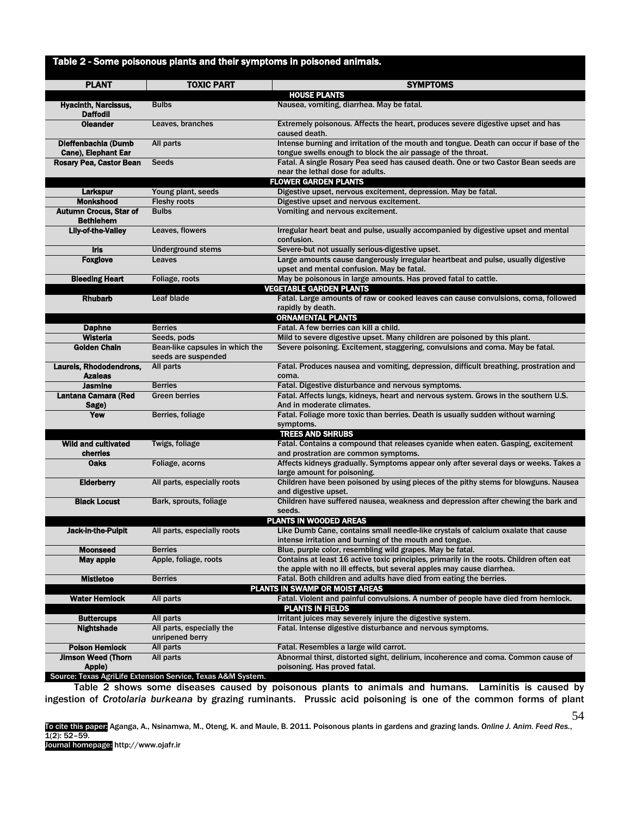| Table 2 - Some poisonous plants and their symptoms in poisoned animals. |                                                             |                                                                                                                                                                   |  |  |  |
|-------------------------------------------------------------------------|-------------------------------------------------------------|-------------------------------------------------------------------------------------------------------------------------------------------------------------------|--|--|--|
| <b>PLANT</b>                                                            | <b>TOXIC PART</b>                                           | <b>SYMPTOMS</b>                                                                                                                                                   |  |  |  |
|                                                                         |                                                             | <b>HOUSE PLANTS</b>                                                                                                                                               |  |  |  |
| <b>Hyacinth, Narcissus,</b><br><b>Daffodil</b>                          | <b>Bulbs</b>                                                | Nausea, vomiting, diarrhea. May be fatal.                                                                                                                         |  |  |  |
| <b>Oleander</b>                                                         | Leaves, branches                                            | Extremely poisonous. Affects the heart, produces severe digestive upset and has<br>caused death.                                                                  |  |  |  |
| Dieffenbachia (Dumb<br><b>Cane), Elephant Ear</b>                       | All parts                                                   | Intense burning and irritation of the mouth and tongue. Death can occur if base of the<br>tongue swells enough to block the air passage of the throat.            |  |  |  |
| <b>Rosary Pea, Castor Bean</b>                                          | Seeds                                                       | Fatal. A single Rosary Pea seed has caused death. One or two Castor Bean seeds are<br>near the lethal dose for adults.                                            |  |  |  |
|                                                                         | <b>FLOWER GARDEN PLANTS</b>                                 |                                                                                                                                                                   |  |  |  |
| <b>Larkspur</b>                                                         | Young plant, seeds                                          | Digestive upset, nervous excitement, depression. May be fatal.                                                                                                    |  |  |  |
| <b>Monkshood</b>                                                        | <b>Fleshy roots</b>                                         | Digestive upset and nervous excitement.                                                                                                                           |  |  |  |
| <b>Autumn Crocus, Star of</b><br><b>Bethlehem</b>                       | <b>Bulbs</b>                                                | Vomiting and nervous excitement.                                                                                                                                  |  |  |  |
| Lily-of-the-Valley                                                      | Leaves, flowers                                             | Irregular heart beat and pulse, usually accompanied by digestive upset and mental<br>confusion.                                                                   |  |  |  |
| <b>Iris</b>                                                             | <b>Underground stems</b>                                    | Severe-but not usually serious-digestive upset.                                                                                                                   |  |  |  |
| <b>Foxglove</b>                                                         | Leaves                                                      | Large amounts cause dangerously irregular heartbeat and pulse, usually digestive<br>upset and mental confusion. May be fatal.                                     |  |  |  |
| <b>Bleeding Heart</b>                                                   | Foliage, roots                                              | May be poisonous in large amounts. Has proved fatal to cattle.                                                                                                    |  |  |  |
|                                                                         |                                                             | <b>VEGETABLE GARDEN PLANTS</b>                                                                                                                                    |  |  |  |
| <b>Rhubarb</b>                                                          | Leaf blade                                                  | Fatal. Large amounts of raw or cooked leaves can cause convulsions, coma, followed<br>rapidly by death.                                                           |  |  |  |
|                                                                         |                                                             | <b>ORNAMENTAL PLANTS</b>                                                                                                                                          |  |  |  |
| <b>Daphne</b>                                                           | <b>Berries</b>                                              | Fatal. A few berries can kill a child.                                                                                                                            |  |  |  |
| <b>Wisteria</b>                                                         | Seeds, pods                                                 | Mild to severe digestive upset. Many children are poisoned by this plant.                                                                                         |  |  |  |
| <b>Golden Chain</b>                                                     | Bean-like capsules in which the<br>seeds are suspended      | Severe poisoning. Excitement, staggering, convulsions and coma. May be fatal.                                                                                     |  |  |  |
| Laurels, Rhododendrons,<br><b>Azaleas</b>                               | All parts                                                   | Fatal. Produces nausea and vomiting, depression, difficult breathing, prostration and<br>coma.                                                                    |  |  |  |
| <b>Jasmine</b>                                                          | <b>Berries</b>                                              | Fatal. Digestive disturbance and nervous symptoms.                                                                                                                |  |  |  |
| <b>Lantana Camara (Red</b><br>Sage)                                     | <b>Green berries</b>                                        | Fatal. Affects lungs, kidneys, heart and nervous system. Grows in the southern U.S.<br>And in moderate climates.                                                  |  |  |  |
| Yew                                                                     | Berries, foliage                                            | Fatal. Foliage more toxic than berries. Death is usually sudden without warning<br>symptoms.                                                                      |  |  |  |
|                                                                         |                                                             | <b>TREES AND SHRUBS</b>                                                                                                                                           |  |  |  |
| <b>Wild and cultivated</b><br>cherries                                  | Twigs, foliage                                              | Fatal. Contains a compound that releases cyanide when eaten. Gasping, excitement<br>and prostration are common symptoms.                                          |  |  |  |
| <b>Oaks</b>                                                             | Foliage, acorns                                             | Affects kidneys gradually. Symptoms appear only after several days or weeks. Takes a<br>large amount for poisoning.                                               |  |  |  |
| <b>Elderberry</b>                                                       | All parts, especially roots                                 | Children have been poisoned by using pieces of the pithy stems for blowguns. Nausea<br>and digestive upset.                                                       |  |  |  |
| <b>Black Locust</b>                                                     | Bark, sprouts, foliage                                      | Children have suffered nausea, weakness and depression after chewing the bark and<br>seeds.                                                                       |  |  |  |
|                                                                         |                                                             | PLANTS IN WOODED AREAS                                                                                                                                            |  |  |  |
| <b>Jack-in-the-Pulpit</b>                                               | All parts, especially roots                                 | Like Dumb Cane, contains small needle-like crystals of calcium oxalate that cause<br>intense irritation and burning of the mouth and tongue.                      |  |  |  |
| <b>Moonseed</b>                                                         | <b>Berries</b>                                              | Blue, purple color, resembling wild grapes. May be fatal.                                                                                                         |  |  |  |
| May apple                                                               | Apple, foliage, roots                                       | Contains at least 16 active toxic principles, primarily in the roots. Children often eat<br>the apple with no ill effects, but several apples may cause diarrhea. |  |  |  |
| <b>Mistletoe</b>                                                        | <b>Berries</b>                                              | Fatal. Both children and adults have died from eating the berries.<br>PLANTS IN SWAMP OR MOIST AREAS                                                              |  |  |  |
| <b>Water Hemlock</b>                                                    | All parts                                                   | Fatal. Violent and painful convulsions. A number of people have died from hemlock.<br><b>PLANTS IN FIELDS</b>                                                     |  |  |  |
|                                                                         | All parts                                                   | Irritant juices may severely injure the digestive system.                                                                                                         |  |  |  |
| <b>Buttercups</b><br><b>Nightshade</b>                                  | All parts, especially the                                   | Fatal. Intense digestive disturbance and nervous symptoms.                                                                                                        |  |  |  |
|                                                                         | unripened berry                                             |                                                                                                                                                                   |  |  |  |
| <b>Poison Hemlock</b>                                                   | All parts                                                   | Fatal. Resembles a large wild carrot.                                                                                                                             |  |  |  |
| <b>Jimson Weed (Thorn</b><br>Apple)                                     | All parts                                                   | Abnormal thirst, distorted sight, delirium, incoherence and coma. Common cause of<br>poisoning. Has proved fatal.                                                 |  |  |  |
|                                                                         | Source: Texas AgriLife Extension Service, Texas A&M System. |                                                                                                                                                                   |  |  |  |

Table 2 shows some diseases caused by poisonous plants to animals and humans. Laminitis is caused by ingestion of *Crotolaria burkeana* by grazing ruminants. Prussic acid poisoning is one of the common forms of plant

54

To cite this paper: Aganga, A., Nsinamwa, M., Oteng, K. and Maule, B. 2011. Poisonous plants in gardens and grazing lands. *Online J. Anim. Feed Res.*, 1(2): 52–59.

Journal homepage: http://www.ojafr.ir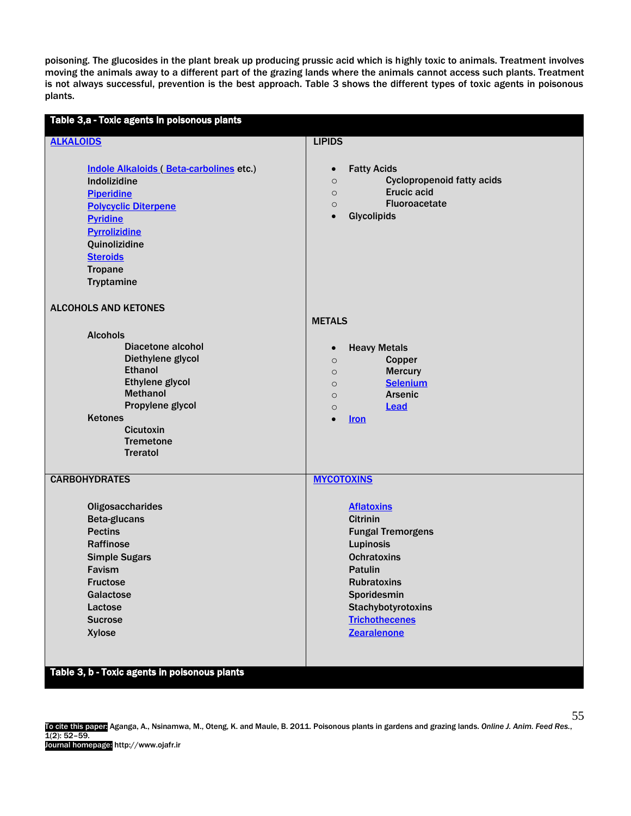poisoning. The glucosides in the plant break up producing prussic acid which is highly toxic to animals. Treatment involves moving the animals away to a different part of the grazing lands where the animals cannot access such plants. Treatment is not always successful, prevention is the best approach. Table 3 shows the different types of toxic agents in poisonous plants.

| <b>ALKALOIDS</b>                                                                                                                                                                                                                  | <b>LIPIDS</b>                                                                                                                                                                                                                   |
|-----------------------------------------------------------------------------------------------------------------------------------------------------------------------------------------------------------------------------------|---------------------------------------------------------------------------------------------------------------------------------------------------------------------------------------------------------------------------------|
| Indole Alkaloids (Beta-carbolines etc.)<br>Indolizidine<br><b>Piperidine</b><br><b>Polycyclic Diterpene</b><br><b>Pyridine</b><br><b>Pyrrolizidine</b><br>Quinolizidine<br><b>Steroids</b><br><b>Tropane</b><br><b>Tryptamine</b> | <b>Fatty Acids</b><br>$\bullet$<br><b>Cyclopropenoid fatty acids</b><br>$\circ$<br><b>Erucic acid</b><br>$\circ$<br>Fluoroacetate<br>$\circ$<br><b>Glycolipids</b><br>$\bullet$                                                 |
|                                                                                                                                                                                                                                   |                                                                                                                                                                                                                                 |
| <b>ALCOHOLS AND KETONES</b>                                                                                                                                                                                                       | <b>METALS</b>                                                                                                                                                                                                                   |
| <b>Alcohols</b><br><b>Diacetone alcohol</b><br>Diethylene glycol<br><b>Ethanol</b><br>Ethylene glycol<br><b>Methanol</b><br>Propylene glycol<br><b>Ketones</b><br><b>Cicutoxin</b><br><b>Tremetone</b><br><b>Treratol</b>         | <b>Heavy Metals</b><br>$\bullet$<br>Copper<br>$\circ$<br><b>Mercury</b><br>$\circ$<br><b>Selenium</b><br>$\circ$<br><b>Arsenic</b><br>$\circ$<br>Lead<br>$\circ$<br><b>Iron</b><br>$\bullet$                                    |
| <b>CARBOHYDRATES</b>                                                                                                                                                                                                              | <b>MYCOTOXINS</b>                                                                                                                                                                                                               |
| <b>Oligosaccharides</b><br><b>Beta-glucans</b><br><b>Pectins</b><br>Raffinose<br><b>Simple Sugars</b><br>Favism<br><b>Fructose</b><br>Galactose<br>Lactose<br><b>Sucrose</b><br>Xylose                                            | <b>Aflatoxins</b><br><b>Citrinin</b><br><b>Fungal Tremorgens</b><br><b>Lupinosis</b><br><b>Ochratoxins</b><br>Patulin<br><b>Rubratoxins</b><br>Sporidesmin<br>Stachybotyrotoxins<br><b>Trichothecenes</b><br><b>Zearalenone</b> |

Table 3, b - Toxic agents in poisonous plants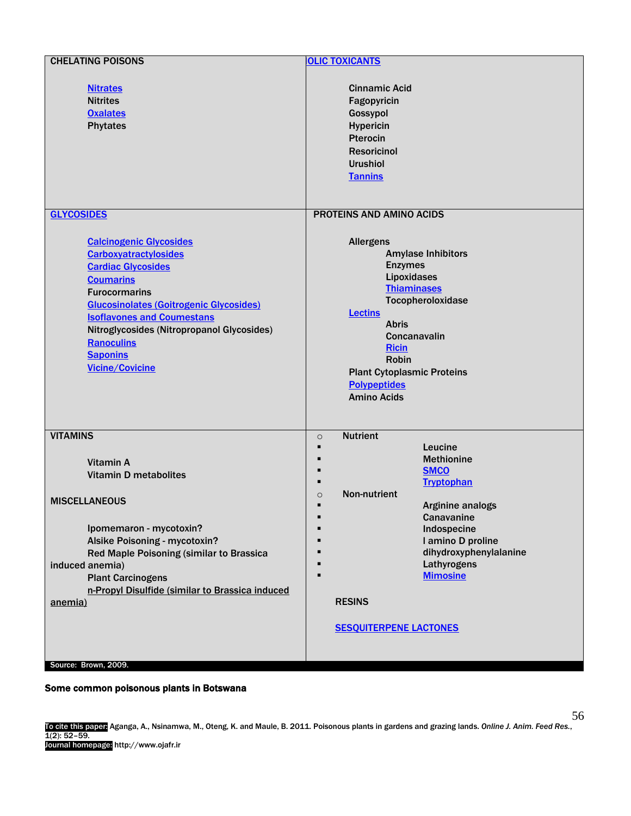| <b>CHELATING POISONS</b>                                                                                                                                                                                                                                                                                                                       | <b>OLIC TOXICANTS</b>                                                                                                                                                                                                                                                           |
|------------------------------------------------------------------------------------------------------------------------------------------------------------------------------------------------------------------------------------------------------------------------------------------------------------------------------------------------|---------------------------------------------------------------------------------------------------------------------------------------------------------------------------------------------------------------------------------------------------------------------------------|
| <b>Nitrates</b><br><b>Nitrites</b><br><b>Oxalates</b><br><b>Phytates</b>                                                                                                                                                                                                                                                                       | <b>Cinnamic Acid</b><br>Fagopyricin<br>Gossypol<br>Hypericin<br>Pterocin<br><b>Resoricinol</b><br><b>Urushiol</b><br><b>Tannins</b>                                                                                                                                             |
| <b>GLYCOSIDES</b>                                                                                                                                                                                                                                                                                                                              | <b>PROTEINS AND AMINO ACIDS</b>                                                                                                                                                                                                                                                 |
| <b>Calcinogenic Glycosides</b><br><b>Carboxyatractylosides</b><br><b>Cardiac Glycosides</b><br><b>Coumarins</b><br><b>Furocormarins</b><br><b>Glucosinolates (Goitrogenic Glycosides)</b><br><b>Isoflavones and Coumestans</b><br>Nitroglycosides (Nitropropanol Glycosides)<br><b>Ranoculins</b><br><b>Saponins</b><br><b>Vicine/Covicine</b> | <b>Allergens</b><br><b>Amylase Inhibitors</b><br><b>Enzymes</b><br>Lipoxidases<br><b>Thiaminases</b><br>Tocopheroloxidase<br><b>Lectins</b><br><b>Abris</b><br>Concanavalin<br>Ricin<br>Robin<br><b>Plant Cytoplasmic Proteins</b><br><b>Polypeptides</b><br><b>Amino Acids</b> |
| <b>VITAMINS</b>                                                                                                                                                                                                                                                                                                                                | <b>Nutrient</b><br>$\circ$<br>Leucine<br>г                                                                                                                                                                                                                                      |
| Vitamin A<br><b>Vitamin D metabolites</b><br><b>MISCELLANEOUS</b><br>Ipomemaron - mycotoxin?<br>Alsike Poisoning - mycotoxin?<br>Red Maple Poisoning (similar to Brassica                                                                                                                                                                      | <b>Methionine</b><br><b>SMCO</b><br><b>Tryptophan</b><br>г<br><b>Non-nutrient</b><br>$\circ$<br>Arginine analogs<br>п<br>Canavanine<br>Indospecine<br>I amino D proline<br>dihydroxyphenylalanine                                                                               |
| induced anemia)<br><b>Plant Carcinogens</b><br>n-Propyl Disulfide (similar to Brassica induced<br>anemia)                                                                                                                                                                                                                                      | Lathyrogens<br><b>Mimosine</b><br><b>RESINS</b>                                                                                                                                                                                                                                 |
|                                                                                                                                                                                                                                                                                                                                                | <b>SESQUITERPENE LACTONES</b>                                                                                                                                                                                                                                                   |
| Source: Brown, 2009.                                                                                                                                                                                                                                                                                                                           |                                                                                                                                                                                                                                                                                 |

Some common poisonous plants in Botswana

I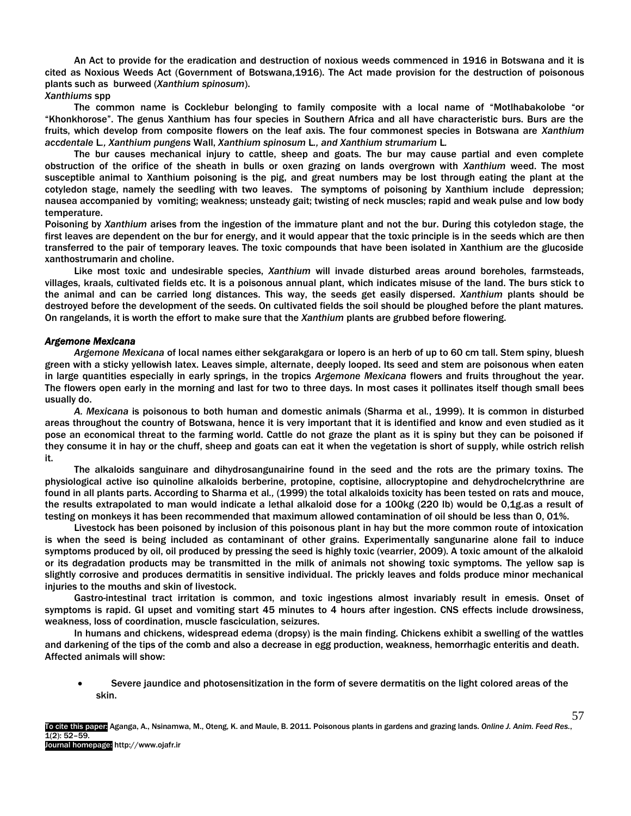An Act to provide for the eradication and destruction of noxious weeds commenced in 1916 in Botswana and it is cited as Noxious Weeds Act (Government of Botswana,1916). The Act made provision for the destruction of poisonous plants such as burweed (*Xanthium spinosum*).

# *Xanthiums* spp

The common name is Cocklebur belonging to family composite with a local name of "Motlhabakolobe "or "Khonkhorose". The genus Xanthium has four species in Southern Africa and all have characteristic burs. Burs are the fruits, which develop from composite flowers on the leaf axis. The four commonest species in Botswana are *Xanthium accdentale* L*., Xanthium pungens* Wall, *Xanthium spinosum* L*., and Xanthium strumarium* L*.*

The bur causes mechanical injury to cattle, sheep and goats. The bur may cause partial and even complete obstruction of the orifice of the sheath in bulls or oxen grazing on lands overgrown with *Xanthium* weed. The most susceptible animal to Xanthium poisoning is the pig, and great numbers may be lost through eating the plant at the cotyledon stage, namely the seedling with two leaves. The symptoms of poisoning by Xanthium include depression; nausea accompanied by vomiting; weakness; unsteady gait; twisting of neck muscles; rapid and weak pulse and low body temperature.

Poisoning by *Xanthium* arises from the ingestion of the immature plant and not the bur. During this cotyledon stage, the first leaves are dependent on the bur for energy, and it would appear that the toxic principle is in the seeds which are then transferred to the pair of temporary leaves. The toxic compounds that have been isolated in Xanthium are the glucoside xanthostrumarin and choline.

Like most toxic and undesirable species, *Xanthium* will invade disturbed areas around boreholes, farmsteads, villages, kraals, cultivated fields etc. It is a poisonous annual plant, which indicates misuse of the land. The burs stick to the animal and can be carried long distances. This way, the seeds get easily dispersed. *Xanthium* plants should be destroyed before the development of the seeds. On cultivated fields the soil should be ploughed before the plant matures. On rangelands, it is worth the effort to make sure that the *Xanthium* plants are grubbed before flowering.

### *Argemone Mexicana*

*Argemone Mexicana* of local names either sekgarakgara or lopero is an herb of up to 60 cm tall. Stem spiny, bluesh green with a sticky yellowish latex. Leaves simple, alternate, deeply looped. Its seed and stem are poisonous when eaten in large quantities especially in early springs, in the tropics *Argemone Mexicana* flowers and fruits throughout the year. The flowers open early in the morning and last for two to three days. In most cases it pollinates itself though small bees usually do.

*A. Mexicana* is poisonous to both human and domestic animals (Sharma et al*.*, 1999). It is common in disturbed areas throughout the country of Botswana, hence it is very important that it is identified and know and even studied as it pose an economical threat to the farming world. Cattle do not graze the plant as it is spiny but they can be poisoned if they consume it in hay or the chuff, sheep and goats can eat it when the vegetation is short of supply, while ostrich relish it.

The alkaloids sanguinare and dihydrosangunairine found in the seed and the rots are the primary toxins. The physiological active iso quinoline alkaloids berberine, protopine, coptisine, allocryptopine and dehydrochelcrythrine are found in all plants parts. According to Sharma et al*.,* (1999) the total alkaloids toxicity has been tested on rats and mouce, the results extrapolated to man would indicate a lethal alkaloid dose for a 100kg (220 lb) would be 0,1g.as a result of testing on monkeys it has been recommended that maximum allowed contamination of oil should be less than 0, 01%.

Livestock has been poisoned by inclusion of this poisonous plant in hay but the more common route of intoxication is when the seed is being included as contaminant of other grains. Experimentally sangunarine alone fail to induce symptoms produced by oil, oil produced by pressing the seed is highly toxic (vearrier, 2009). A toxic amount of the alkaloid or its degradation products may be transmitted in the milk of animals not showing toxic symptoms. The yellow sap is slightly corrosive and produces dermatitis in sensitive individual. The prickly leaves and folds produce minor mechanical injuries to the mouths and skin of livestock.

Gastro-intestinal tract irritation is common, and toxic ingestions almost invariably result in emesis. Onset of symptoms is rapid. GI upset and vomiting start 45 minutes to 4 hours after ingestion. CNS effects include drowsiness, weakness, loss of coordination, muscle fasciculation, seizures.

In humans and chickens, widespread edema (dropsy) is the main finding. Chickens exhibit a swelling of the wattles and darkening of the tips of the comb and also a decrease in egg production, weakness, hemorrhagic enteritis and death. Affected animals will show:

 Severe jaundice and photosensitization in the form of severe dermatitis on the light colored areas of the skin.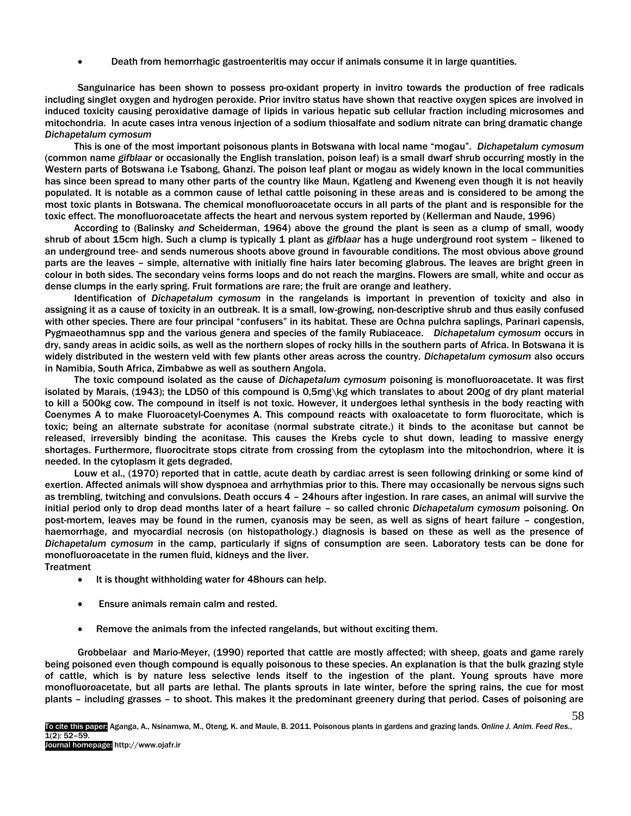Death from hemorrhagic gastroenteritis may occur if animals consume it in large quantities.

Sanguinarice has been shown to possess pro-oxidant property in invitro towards the production of free radicals including singlet oxygen and hydrogen peroxide. Prior invitro status have shown that reactive oxygen spices are involved in induced toxicity causing peroxidative damage of lipids in various hepatic sub cellular fraction including microsomes and mitochondria. In acute cases intra venous injection of a sodium thiosalfate and sodium nitrate can bring dramatic change *Dichapetalum cymosum*

This is one of the most important poisonous plants in Botswana with local name "mogau". *Dichapetalum cymosum* (common name *gifblaar* or occasionally the English translation, poison leaf) is a small dwarf shrub occurring mostly in the Western parts of Botswana i.e Tsabong, Ghanzi. The poison leaf plant or mogau as widely known in the local communities has since been spread to many other parts of the country like Maun, Kgatleng and Kweneng even though it is not heavily populated. It is notable as a common cause of lethal cattle poisoning in these areas and is considered to be among the most toxic plants in Botswana. The chemical monofluoroacetate occurs in all parts of the plant and is responsible for the toxic effect. The monofluoroacetate affects the heart and nervous system reported by (Kellerman and Naude, 1996)

According to (Balinsky *and* Scheiderman, 1964) above the ground the plant is seen as a clump of small, woody shrub of about 15cm high. Such a clump is typically 1 plant as *gifblaar* has a huge underground root system – likened to an underground tree- and sends numerous shoots above ground in favourable conditions. The most obvious above ground parts are the leaves – simple, alternative with initially fine hairs later becoming glabrous. The leaves are bright green in colour in both sides. The secondary veins forms loops and do not reach the margins. Flowers are small, white and occur as dense clumps in the early spring. Fruit formations are rare; the fruit are orange and leathery.

Identification of *Dichapetalum cymosum* in the rangelands is important in prevention of toxicity and also in assigning it as a cause of toxicity in an outbreak. It is a small, low-growing, non-descriptive shrub and thus easily confused with other species. There are four principal "confusers" in its habitat. These are Ochna pulchra saplings, Parinari capensis, Pygmaeothamnus spp and the various genera and species of the family Rubiaceace. *Dichapetalum cymosum* occurs in dry, sandy areas in acidic soils, as well as the northern slopes of rocky hills in the southern parts of Africa. In Botswana it is widely distributed in the western veld with few plants other areas across the country. *Dichapetalum cymosum* also occurs in Namibia, South Africa, Zimbabwe as well as southern Angola.

The toxic compound isolated as the cause of *Dichapetalum cymosum* poisoning is monofluoroacetate. It was first isolated by Marais, (1943); the LD50 of this compound is 0,5mg\kg which translates to about 200g of dry plant material to kill a 500kg cow. The compound in itself is not toxic. However, it undergoes lethal synthesis in the body reacting with Coenymes A to make Fluoroacetyl-Coenymes A. This compound reacts with oxaloacetate to form fluorocitate, which is toxic; being an alternate substrate for aconitase (normal substrate citrate.) it binds to the aconitase but cannot be released, irreversibly binding the aconitase. This causes the Krebs cycle to shut down, leading to massive energy shortages. Furthermore, fluorocitrate stops citrate from crossing from the cytoplasm into the mitochondrion, where it is needed. In the cytoplasm it gets degraded.

Louw et al., (1970) reported that in cattle, acute death by cardiac arrest is seen following drinking or some kind of exertion. Affected animals will show dyspnoea and arrhythmias prior to this. There may occasionally be nervous signs such as trembling, twitching and convulsions. Death occurs 4 – 24hours after ingestion. In rare cases, an animal will survive the initial period only to drop dead months later of a heart failure – so called chronic *Dichapetalum cymosum* poisoning. On post-mortem, leaves may be found in the rumen, cyanosis may be seen, as well as signs of heart failure – congestion, haemorrhage, and myocardial necrosis (on histopathology.) diagnosis is based on these as well as the presence of *Dichapetalum cymosum* in the camp, particularly if signs of consumption are seen. Laboratory tests can be done for monofluoroacetate in the rumen fluid, kidneys and the liver.

**Treatment** 

- It is thought withholding water for 48 hours can help.
- Ensure animals remain calm and rested.
- Remove the animals from the infected rangelands, but without exciting them.

Grobbelaar and Mario-Meyer, (1990) reported that cattle are mostly affected; with sheep, goats and game rarely being poisoned even though compound is equally poisonous to these species. An explanation is that the bulk grazing style of cattle, which is by nature less selective lends itself to the ingestion of the plant. Young sprouts have more monofluoroacetate, but all parts are lethal. The plants sprouts in late winter, before the spring rains, the cue for most plants – including grasses – to shoot. This makes it the predominant greenery during that period. Cases of poisoning are